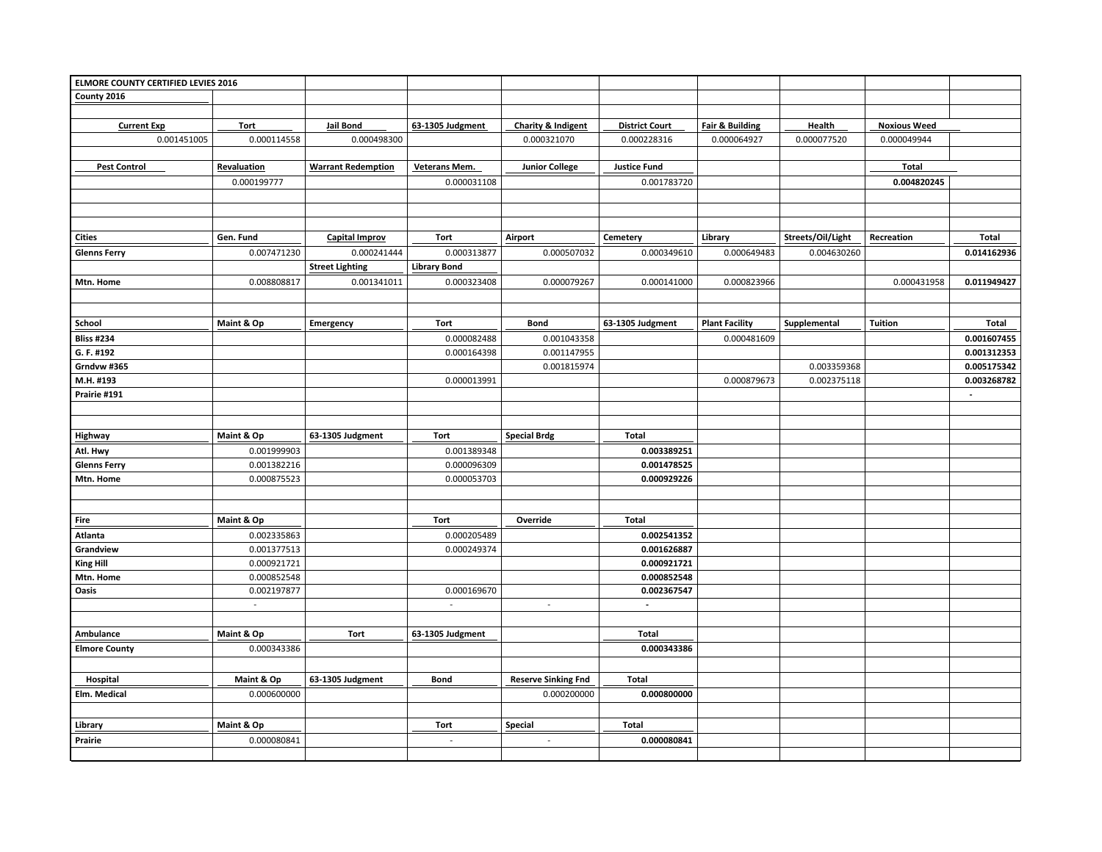| ELMORE COUNTY CERTIFIED LEVIES 2016 |                           |                           |                             |                             |                       |                            |                   |                     |                |
|-------------------------------------|---------------------------|---------------------------|-----------------------------|-----------------------------|-----------------------|----------------------------|-------------------|---------------------|----------------|
| County 2016                         |                           |                           |                             |                             |                       |                            |                   |                     |                |
|                                     |                           |                           |                             |                             |                       |                            |                   |                     |                |
| <b>Current Exp</b>                  | Tort                      | Jail Bond                 | 63-1305 Judgment            | Charity & Indigent          | <b>District Court</b> | <b>Fair &amp; Building</b> | Health            | <b>Noxious Weed</b> |                |
| 0.001451005                         | 0.000114558               | 0.000498300               |                             | 0.000321070                 | 0.000228316           | 0.000064927                | 0.000077520       | 0.000049944         |                |
|                                     |                           |                           |                             |                             |                       |                            |                   |                     |                |
| <b>Pest Control</b>                 | Revaluation               | <b>Warrant Redemption</b> | Veterans Mem.               | <b>Junior College</b>       | <b>Justice Fund</b>   |                            |                   | Total               |                |
|                                     | 0.000199777               |                           | 0.000031108                 |                             | 0.001783720           |                            |                   | 0.004820245         |                |
|                                     |                           |                           |                             |                             |                       |                            |                   |                     |                |
|                                     |                           |                           |                             |                             |                       |                            |                   |                     |                |
|                                     |                           |                           |                             |                             |                       |                            |                   |                     |                |
| <b>Cities</b>                       | Gen. Fund                 | <b>Capital Improv</b>     | <b>Tort</b>                 | Airport                     | Cemetery              | Library                    | Streets/Oil/Light | Recreation          | <b>Total</b>   |
| <b>Glenns Ferry</b>                 | 0.007471230               | 0.000241444               | 0.000313877                 | 0.000507032                 | 0.000349610           | 0.000649483                | 0.004630260       |                     | 0.014162936    |
|                                     |                           | <b>Street Lighting</b>    | <b>Library Bond</b>         |                             |                       |                            |                   |                     |                |
| Mtn. Home                           | 0.008808817               | 0.001341011               | 0.000323408                 | 0.000079267                 | 0.000141000           | 0.000823966                |                   | 0.000431958         | 0.011949427    |
|                                     |                           |                           |                             |                             |                       |                            |                   |                     |                |
|                                     |                           |                           |                             |                             |                       |                            |                   |                     |                |
| School                              | Maint & Op                | Emergency                 | <b>Tort</b>                 | <b>Bond</b>                 | 63-1305 Judgment      | <b>Plant Facility</b>      | Supplemental      | <b>Tuition</b>      | Total          |
| <b>Bliss #234</b>                   |                           |                           | 0.000082488                 | 0.001043358                 |                       | 0.000481609                |                   |                     | 0.001607455    |
| G. F. #192                          |                           |                           | 0.000164398                 | 0.001147955                 |                       |                            |                   |                     | 0.001312353    |
| Grndvw #365                         |                           |                           |                             | 0.001815974                 |                       |                            | 0.003359368       |                     | 0.005175342    |
| M.H. #193                           |                           |                           | 0.000013991                 |                             |                       | 0.000879673                | 0.002375118       |                     | 0.003268782    |
| Prairie #191                        |                           |                           |                             |                             |                       |                            |                   |                     | $\mathbb{Z}^2$ |
|                                     |                           |                           |                             |                             |                       |                            |                   |                     |                |
|                                     |                           |                           |                             |                             |                       |                            |                   |                     |                |
| Highway                             | Maint & Op                | 63-1305 Judgment          | Tort                        | <b>Special Brdg</b>         | Total                 |                            |                   |                     |                |
| Atl. Hwy                            | 0.001999903               |                           | 0.001389348                 |                             | 0.003389251           |                            |                   |                     |                |
| <b>Glenns Ferry</b>                 | 0.001382216               |                           | 0.000096309                 |                             | 0.001478525           |                            |                   |                     |                |
| Mtn. Home                           | 0.000875523               |                           | 0.000053703                 |                             | 0.000929226           |                            |                   |                     |                |
|                                     |                           |                           |                             |                             |                       |                            |                   |                     |                |
|                                     |                           |                           |                             |                             |                       |                            |                   |                     |                |
| Fire                                | Maint & Op                |                           | Tort                        | Override                    | <b>Total</b>          |                            |                   |                     |                |
| Atlanta                             | 0.002335863               |                           | 0.000205489                 |                             | 0.002541352           |                            |                   |                     |                |
| Grandview                           | 0.001377513               |                           | 0.000249374                 |                             | 0.001626887           |                            |                   |                     |                |
| <b>King Hill</b>                    | 0.000921721               |                           |                             |                             | 0.000921721           |                            |                   |                     |                |
| Mtn. Home                           | 0.000852548               |                           |                             |                             | 0.000852548           |                            |                   |                     |                |
| Oasis                               | 0.002197877               |                           | 0.000169670                 |                             | 0.002367547           |                            |                   |                     |                |
|                                     | $\mathbb{Z}^{\mathbb{Z}}$ |                           | $\mathcal{L}^{\mathcal{A}}$ | $\mathbb{Z}^2$              | $\mathcal{L}$         |                            |                   |                     |                |
|                                     |                           |                           |                             |                             |                       |                            |                   |                     |                |
| Ambulance                           | Maint & Op                | <b>Tort</b>               | 63-1305 Judgment            |                             | Total                 |                            |                   |                     |                |
| <b>Elmore County</b>                | 0.000343386               |                           |                             |                             | 0.000343386           |                            |                   |                     |                |
|                                     |                           |                           |                             |                             |                       |                            |                   |                     |                |
| Hospital                            | Maint & Op                | 63-1305 Judgment          | <b>Bond</b>                 | <b>Reserve Sinking Fnd</b>  | <b>Total</b>          |                            |                   |                     |                |
| Elm. Medical                        | 0.000600000               |                           |                             | 0.000200000                 | 0.000800000           |                            |                   |                     |                |
|                                     |                           |                           |                             |                             |                       |                            |                   |                     |                |
|                                     |                           |                           |                             |                             |                       |                            |                   |                     |                |
| Library                             | Maint & Op                |                           | <b>Tort</b>                 | Special                     | Total                 |                            |                   |                     |                |
| Prairie                             | 0.000080841               |                           | $\mathcal{L}_{\mathcal{A}}$ | $\mathcal{L}_{\mathcal{A}}$ | 0.000080841           |                            |                   |                     |                |
|                                     |                           |                           |                             |                             |                       |                            |                   |                     |                |